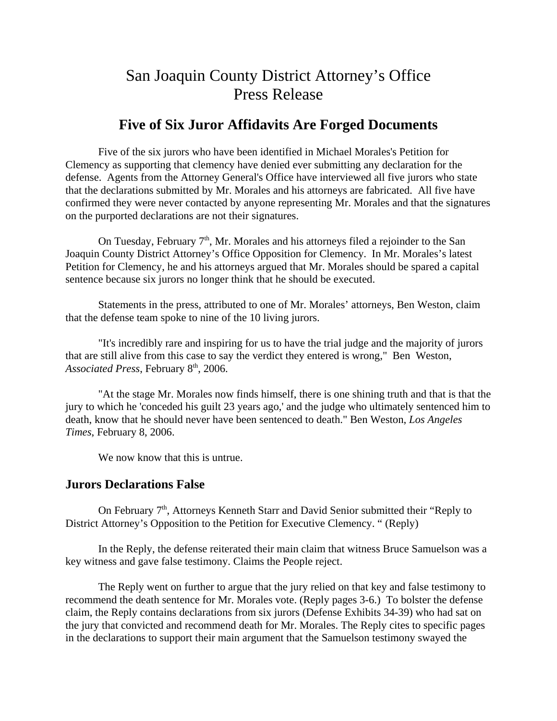# San Joaquin County District Attorney's Office Press Release

# **Five of Six Juror Affidavits Are Forged Documents**

Five of the six jurors who have been identified in Michael Morales's Petition for Clemency as supporting that clemency have denied ever submitting any declaration for the defense. Agents from the Attorney General's Office have interviewed all five jurors who state that the declarations submitted by Mr. Morales and his attorneys are fabricated. All five have confirmed they were never contacted by anyone representing Mr. Morales and that the signatures on the purported declarations are not their signatures.

On Tuesday, February  $7<sup>th</sup>$ , Mr. Morales and his attorneys filed a rejoinder to the San Joaquin County District Attorney's Office Opposition for Clemency. In Mr. Morales's latest Petition for Clemency, he and his attorneys argued that Mr. Morales should be spared a capital sentence because six jurors no longer think that he should be executed.

Statements in the press, attributed to one of Mr. Morales' attorneys, Ben Weston, claim that the defense team spoke to nine of the 10 living jurors.

"It's incredibly rare and inspiring for us to have the trial judge and the majority of jurors that are still alive from this case to say the verdict they entered is wrong," Ben Weston, Associated Press, February 8<sup>th</sup>, 2006.

"At the stage Mr. Morales now finds himself, there is one shining truth and that is that the jury to which he 'conceded his guilt 23 years ago,' and the judge who ultimately sentenced him to death, know that he should never have been sentenced to death." Ben Weston, *Los Angeles Times*, February 8, 2006.

We now know that this is untrue.

## **Jurors Declarations False**

On February 7<sup>th</sup>, Attorneys Kenneth Starr and David Senior submitted their "Reply to District Attorney's Opposition to the Petition for Executive Clemency. " (Reply)

In the Reply, the defense reiterated their main claim that witness Bruce Samuelson was a key witness and gave false testimony. Claims the People reject.

The Reply went on further to argue that the jury relied on that key and false testimony to recommend the death sentence for Mr. Morales vote. (Reply pages 3-6.) To bolster the defense claim, the Reply contains declarations from six jurors (Defense Exhibits 34-39) who had sat on the jury that convicted and recommend death for Mr. Morales. The Reply cites to specific pages in the declarations to support their main argument that the Samuelson testimony swayed the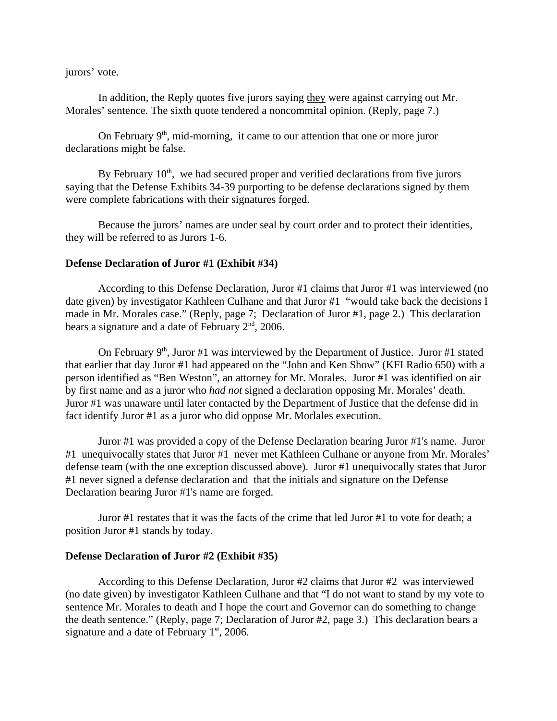jurors' vote.

In addition, the Reply quotes five jurors saying they were against carrying out Mr. Morales' sentence. The sixth quote tendered a noncommital opinion. (Reply, page 7.)

On February  $9<sup>th</sup>$ , mid-morning, it came to our attention that one or more juror declarations might be false.

By February  $10<sup>th</sup>$ , we had secured proper and verified declarations from five jurors saying that the Defense Exhibits 34-39 purporting to be defense declarations signed by them were complete fabrications with their signatures forged.

Because the jurors' names are under seal by court order and to protect their identities, they will be referred to as Jurors 1-6.

#### **Defense Declaration of Juror #1 (Exhibit #34)**

According to this Defense Declaration, Juror #1 claims that Juror #1 was interviewed (no date given) by investigator Kathleen Culhane and that Juror #1 "would take back the decisions I made in Mr. Morales case." (Reply, page 7; Declaration of Juror #1, page 2.) This declaration bears a signature and a date of February  $2<sup>nd</sup>$ , 2006.

On February  $9<sup>th</sup>$ , Juror #1 was interviewed by the Department of Justice. Juror #1 stated that earlier that day Juror #1 had appeared on the "John and Ken Show" (KFI Radio 650) with a person identified as "Ben Weston", an attorney for Mr. Morales. Juror #1 was identified on air by first name and as a juror who *had not* signed a declaration opposing Mr. Morales' death. Juror #1 was unaware until later contacted by the Department of Justice that the defense did in fact identify Juror #1 as a juror who did oppose Mr. Morlales execution.

Juror #1 was provided a copy of the Defense Declaration bearing Juror #1's name. Juror #1 unequivocally states that Juror #1 never met Kathleen Culhane or anyone from Mr. Morales' defense team (with the one exception discussed above). Juror #1 unequivocally states that Juror #1 never signed a defense declaration and that the initials and signature on the Defense Declaration bearing Juror #1's name are forged.

Juror #1 restates that it was the facts of the crime that led Juror #1 to vote for death; a position Juror #1 stands by today.

#### **Defense Declaration of Juror #2 (Exhibit #35)**

According to this Defense Declaration, Juror #2 claims that Juror #2 was interviewed (no date given) by investigator Kathleen Culhane and that "I do not want to stand by my vote to sentence Mr. Morales to death and I hope the court and Governor can do something to change the death sentence." (Reply, page 7; Declaration of Juror #2, page 3.) This declaration bears a signature and a date of February  $1<sup>st</sup>$ , 2006.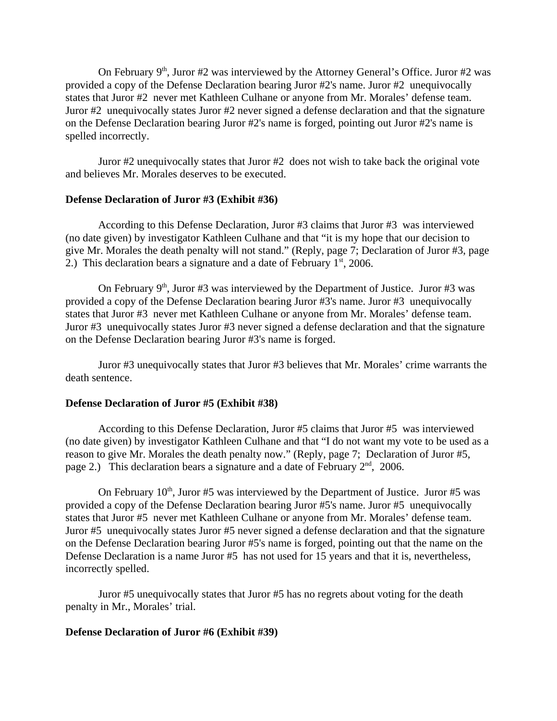On February  $9<sup>th</sup>$ , Juror #2 was interviewed by the Attorney General's Office. Juror #2 was provided a copy of the Defense Declaration bearing Juror #2's name. Juror #2 unequivocally states that Juror #2 never met Kathleen Culhane or anyone from Mr. Morales' defense team. Juror #2 unequivocally states Juror #2 never signed a defense declaration and that the signature on the Defense Declaration bearing Juror #2's name is forged, pointing out Juror #2's name is spelled incorrectly.

Juror #2 unequivocally states that Juror #2 does not wish to take back the original vote and believes Mr. Morales deserves to be executed.

#### **Defense Declaration of Juror #3 (Exhibit #36)**

According to this Defense Declaration, Juror #3 claims that Juror #3 was interviewed (no date given) by investigator Kathleen Culhane and that "it is my hope that our decision to give Mr. Morales the death penalty will not stand." (Reply, page 7; Declaration of Juror #3, page 2.) This declaration bears a signature and a date of February  $1<sup>st</sup>$ , 2006.

On February  $9<sup>th</sup>$ , Juror #3 was interviewed by the Department of Justice. Juror #3 was provided a copy of the Defense Declaration bearing Juror #3's name. Juror #3 unequivocally states that Juror #3 never met Kathleen Culhane or anyone from Mr. Morales' defense team. Juror #3 unequivocally states Juror #3 never signed a defense declaration and that the signature on the Defense Declaration bearing Juror #3's name is forged.

Juror #3 unequivocally states that Juror #3 believes that Mr. Morales' crime warrants the death sentence.

#### **Defense Declaration of Juror #5 (Exhibit #38)**

According to this Defense Declaration, Juror #5 claims that Juror #5 was interviewed (no date given) by investigator Kathleen Culhane and that "I do not want my vote to be used as a reason to give Mr. Morales the death penalty now." (Reply, page 7; Declaration of Juror #5, page 2.) This declaration bears a signature and a date of February  $2<sup>nd</sup>$ , 2006.

On February  $10^{th}$ , Juror #5 was interviewed by the Department of Justice. Juror #5 was provided a copy of the Defense Declaration bearing Juror #5's name. Juror #5 unequivocally states that Juror #5 never met Kathleen Culhane or anyone from Mr. Morales' defense team. Juror #5 unequivocally states Juror #5 never signed a defense declaration and that the signature on the Defense Declaration bearing Juror #5's name is forged, pointing out that the name on the Defense Declaration is a name Juror #5 has not used for 15 years and that it is, nevertheless, incorrectly spelled.

Juror #5 unequivocally states that Juror #5 has no regrets about voting for the death penalty in Mr., Morales' trial.

#### **Defense Declaration of Juror #6 (Exhibit #39)**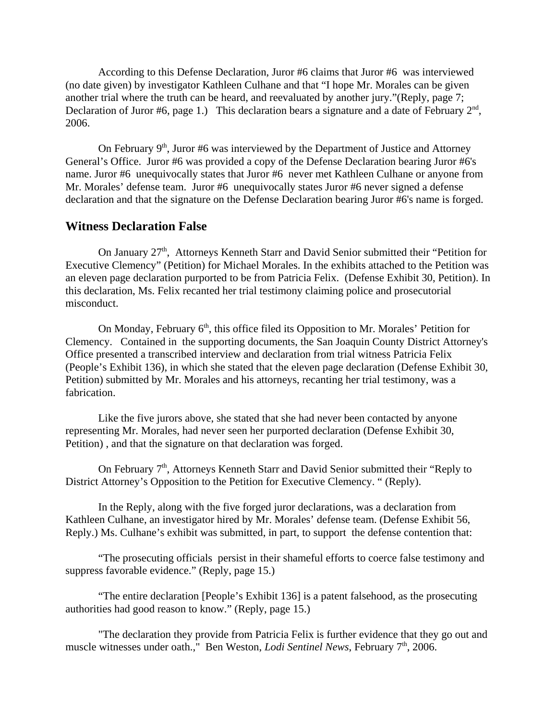According to this Defense Declaration, Juror #6 claims that Juror #6 was interviewed (no date given) by investigator Kathleen Culhane and that "I hope Mr. Morales can be given another trial where the truth can be heard, and reevaluated by another jury."(Reply, page 7; Declaration of Juror #6, page 1.) This declaration bears a signature and a date of February  $2<sup>nd</sup>$ , 2006.

On February  $9<sup>th</sup>$ , Juror #6 was interviewed by the Department of Justice and Attorney General's Office. Juror #6 was provided a copy of the Defense Declaration bearing Juror #6's name. Juror #6 unequivocally states that Juror #6 never met Kathleen Culhane or anyone from Mr. Morales' defense team. Juror #6 unequivocally states Juror #6 never signed a defense declaration and that the signature on the Defense Declaration bearing Juror #6's name is forged.

## **Witness Declaration False**

On January 27<sup>th</sup>, Attorneys Kenneth Starr and David Senior submitted their "Petition for Executive Clemency" (Petition) for Michael Morales. In the exhibits attached to the Petition was an eleven page declaration purported to be from Patricia Felix. (Defense Exhibit 30, Petition). In this declaration, Ms. Felix recanted her trial testimony claiming police and prosecutorial misconduct.

On Monday, February 6<sup>th</sup>, this office filed its Opposition to Mr. Morales' Petition for Clemency. Contained in the supporting documents, the San Joaquin County District Attorney's Office presented a transcribed interview and declaration from trial witness Patricia Felix (People's Exhibit 136), in which she stated that the eleven page declaration (Defense Exhibit 30, Petition) submitted by Mr. Morales and his attorneys, recanting her trial testimony, was a fabrication.

Like the five jurors above, she stated that she had never been contacted by anyone representing Mr. Morales, had never seen her purported declaration (Defense Exhibit 30, Petition) , and that the signature on that declaration was forged.

On February  $7<sup>th</sup>$ , Attorneys Kenneth Starr and David Senior submitted their "Reply to District Attorney's Opposition to the Petition for Executive Clemency. " (Reply).

In the Reply, along with the five forged juror declarations, was a declaration from Kathleen Culhane, an investigator hired by Mr. Morales' defense team. (Defense Exhibit 56, Reply.) Ms. Culhane's exhibit was submitted, in part, to support the defense contention that:

"The prosecuting officials persist in their shameful efforts to coerce false testimony and suppress favorable evidence." (Reply, page 15.)

"The entire declaration [People's Exhibit 136] is a patent falsehood, as the prosecuting authorities had good reason to know." (Reply, page 15.)

"The declaration they provide from Patricia Felix is further evidence that they go out and muscle witnesses under oath.," Ben Weston, *Lodi Sentinel News*, February 7<sup>th</sup>, 2006.